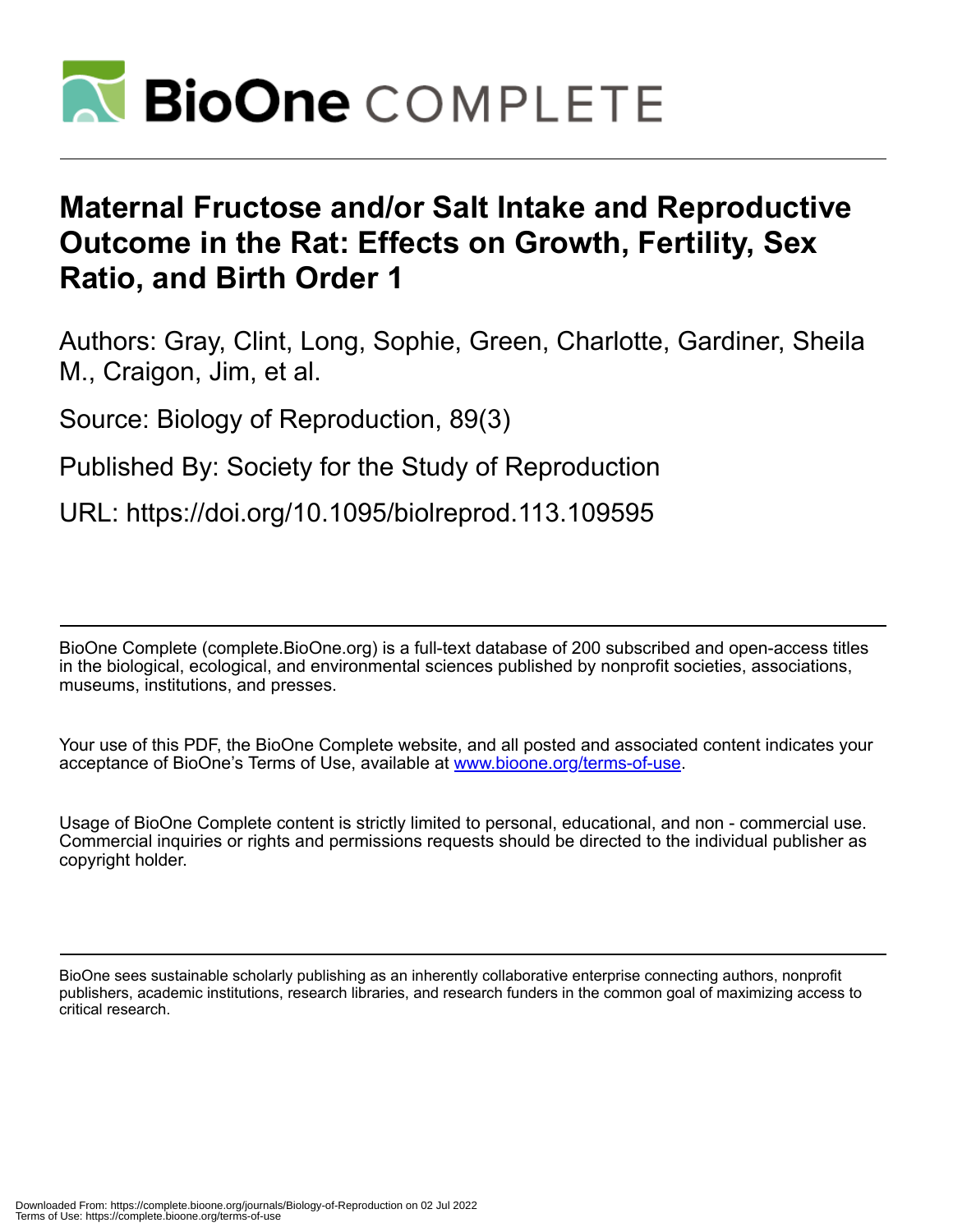

# **Maternal Fructose and/or Salt Intake and Reproductive Outcome in the Rat: Effects on Growth, Fertility, Sex Ratio, and Birth Order 1**

Authors: Gray, Clint, Long, Sophie, Green, Charlotte, Gardiner, Sheila M., Craigon, Jim, et al.

Source: Biology of Reproduction, 89(3)

Published By: Society for the Study of Reproduction

URL: https://doi.org/10.1095/biolreprod.113.109595

BioOne Complete (complete.BioOne.org) is a full-text database of 200 subscribed and open-access titles in the biological, ecological, and environmental sciences published by nonprofit societies, associations, museums, institutions, and presses.

Your use of this PDF, the BioOne Complete website, and all posted and associated content indicates your acceptance of BioOne's Terms of Use, available at www.bioone.org/terms-of-use.

Usage of BioOne Complete content is strictly limited to personal, educational, and non - commercial use. Commercial inquiries or rights and permissions requests should be directed to the individual publisher as copyright holder.

BioOne sees sustainable scholarly publishing as an inherently collaborative enterprise connecting authors, nonprofit publishers, academic institutions, research libraries, and research funders in the common goal of maximizing access to critical research.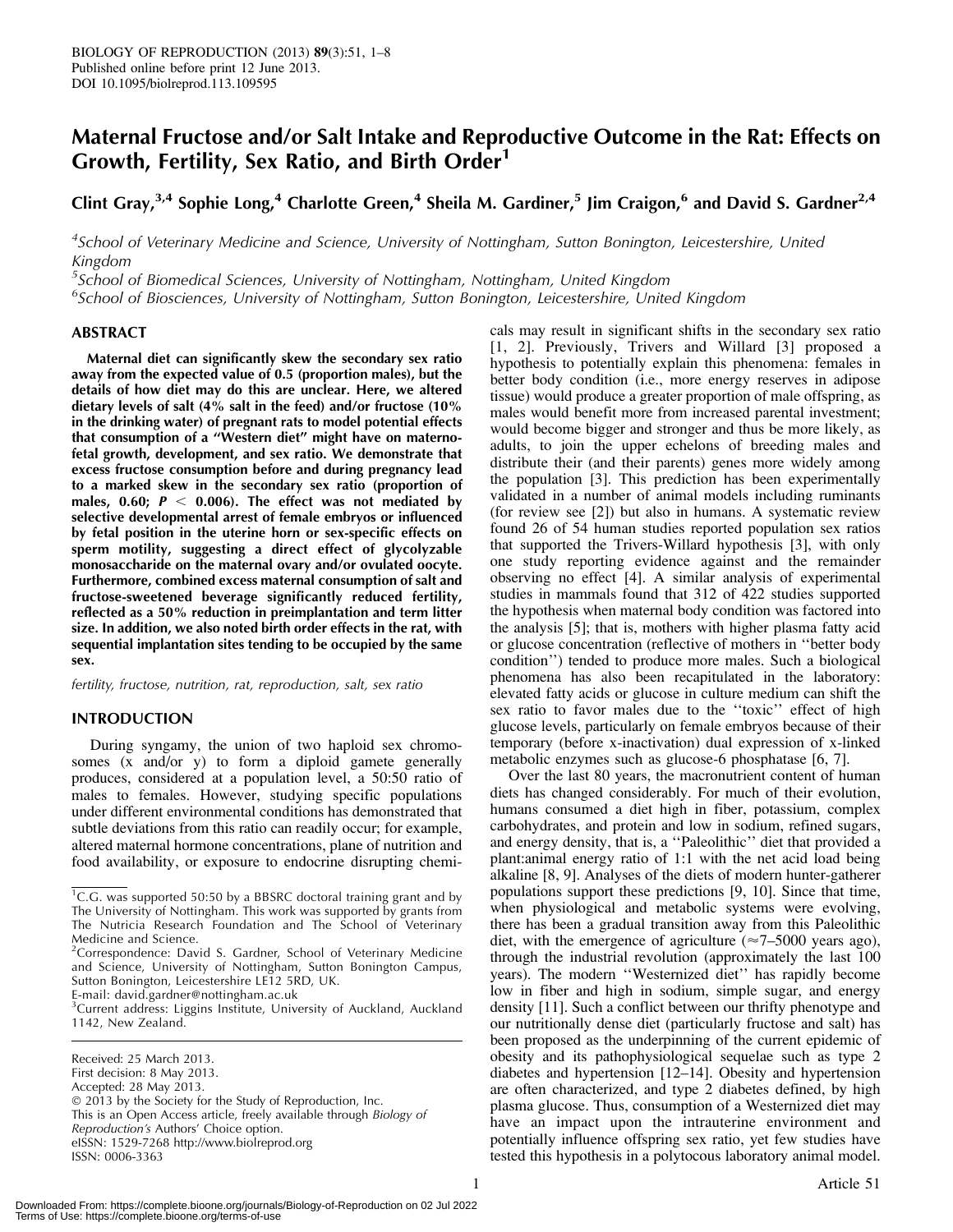# Maternal Fructose and/or Salt Intake and Reproductive Outcome in the Rat: Effects on Growth, Fertility, Sex Ratio, and Birth Order<sup>1</sup>

Clint Gray,<sup>3,4</sup> Sophie Long,<sup>4</sup> Charlotte Green,<sup>4</sup> Sheila M. Gardiner,<sup>5</sup> Jim Craigon,<sup>6</sup> and David S. Gardner<sup>2,4</sup>

<sup>4</sup>School of Veterinary Medicine and Science, University of Nottingham, Sutton Bonington, Leicestershire, United Kingdom

<sup>5</sup>School of Biomedical Sciences, University of Nottingham, Nottingham, United Kingdom

<sup>6</sup>School of Biosciences, University of Nottingham, Sutton Bonington, Leicestershire, United Kingdom

# ABSTRACT

Maternal diet can significantly skew the secondary sex ratio away from the expected value of 0.5 (proportion males), but the details of how diet may do this are unclear. Here, we altered dietary levels of salt (4% salt in the feed) and/or fructose (10% in the drinking water) of pregnant rats to model potential effects that consumption of a ''Western diet'' might have on maternofetal growth, development, and sex ratio. We demonstrate that excess fructose consumption before and during pregnancy lead to a marked skew in the secondary sex ratio (proportion of males, 0.60;  $P < 0.006$ ). The effect was not mediated by selective developmental arrest of female embryos or influenced by fetal position in the uterine horn or sex-specific effects on sperm motility, suggesting a direct effect of glycolyzable monosaccharide on the maternal ovary and/or ovulated oocyte. Furthermore, combined excess maternal consumption of salt and fructose-sweetened beverage significantly reduced fertility, reflected as a 50% reduction in preimplantation and term litter size. In addition, we also noted birth order effects in the rat, with sequential implantation sites tending to be occupied by the same sex.

fertility, fructose, nutrition, rat, reproduction, salt, sex ratio

# INTRODUCTION

During syngamy, the union of two haploid sex chromosomes (x and/or y) to form a diploid gamete generally produces, considered at a population level, a 50:50 ratio of males to females. However, studying specific populations under different environmental conditions has demonstrated that subtle deviations from this ratio can readily occur; for example, altered maternal hormone concentrations, plane of nutrition and food availability, or exposure to endocrine disrupting chemi-

Received: 25 March 2013. First decision: 8 May 2013. Accepted: 28 May 2013. - 2013 by the Society for the Study of Reproduction, Inc. This is an Open Access article, freely available through Biology of Reproduction's Authors' Choice option. eISSN: 1529-7268 http://www.biolreprod.org ISSN: 0006-3363

cals may result in significant shifts in the secondary sex ratio [1, 2]. Previously, Trivers and Willard [3] proposed a hypothesis to potentially explain this phenomena: females in better body condition (i.e., more energy reserves in adipose tissue) would produce a greater proportion of male offspring, as males would benefit more from increased parental investment; would become bigger and stronger and thus be more likely, as adults, to join the upper echelons of breeding males and distribute their (and their parents) genes more widely among the population [3]. This prediction has been experimentally validated in a number of animal models including ruminants (for review see [2]) but also in humans. A systematic review found 26 of 54 human studies reported population sex ratios that supported the Trivers-Willard hypothesis [3], with only one study reporting evidence against and the remainder observing no effect [4]. A similar analysis of experimental studies in mammals found that 312 of 422 studies supported the hypothesis when maternal body condition was factored into the analysis [5]; that is, mothers with higher plasma fatty acid or glucose concentration (reflective of mothers in ''better body condition'') tended to produce more males. Such a biological phenomena has also been recapitulated in the laboratory: elevated fatty acids or glucose in culture medium can shift the sex ratio to favor males due to the ''toxic'' effect of high glucose levels, particularly on female embryos because of their temporary (before x-inactivation) dual expression of x-linked metabolic enzymes such as glucose-6 phosphatase [6, 7].

Over the last 80 years, the macronutrient content of human diets has changed considerably. For much of their evolution, humans consumed a diet high in fiber, potassium, complex carbohydrates, and protein and low in sodium, refined sugars, and energy density, that is, a ''Paleolithic'' diet that provided a plant:animal energy ratio of 1:1 with the net acid load being alkaline [8, 9]. Analyses of the diets of modern hunter-gatherer populations support these predictions [9, 10]. Since that time, when physiological and metabolic systems were evolving, there has been a gradual transition away from this Paleolithic diet, with the emergence of agriculture ( $\approx$ 7–5000 years ago), through the industrial revolution (approximately the last 100 years). The modern ''Westernized diet'' has rapidly become low in fiber and high in sodium, simple sugar, and energy density [11]. Such a conflict between our thrifty phenotype and our nutritionally dense diet (particularly fructose and salt) has been proposed as the underpinning of the current epidemic of obesity and its pathophysiological sequelae such as type 2 diabetes and hypertension [12–14]. Obesity and hypertension are often characterized, and type 2 diabetes defined, by high plasma glucose. Thus, consumption of a Westernized diet may have an impact upon the intrauterine environment and potentially influence offspring sex ratio, yet few studies have tested this hypothesis in a polytocous laboratory animal model.

<sup>&</sup>lt;sup>1</sup>C.G. was supported 50:50 by a BBSRC doctoral training grant and by The University of Nottingham. This work was supported by grants from The Nutricia Research Foundation and The School of Veterinary Medicine and Science.

<sup>&</sup>lt;sup>2</sup>Correspondence: David S. Gardner, School of Veterinary Medicine and Science, University of Nottingham, Sutton Bonington Campus, Sutton Bonington, Leicestershire LE12 5RD, UK.

E-mail: david.gardner@nottingham.ac.uk

<sup>&</sup>lt;sup>3</sup>Current address: Liggins Institute, University of Auckland, Auckland 1142, New Zealand.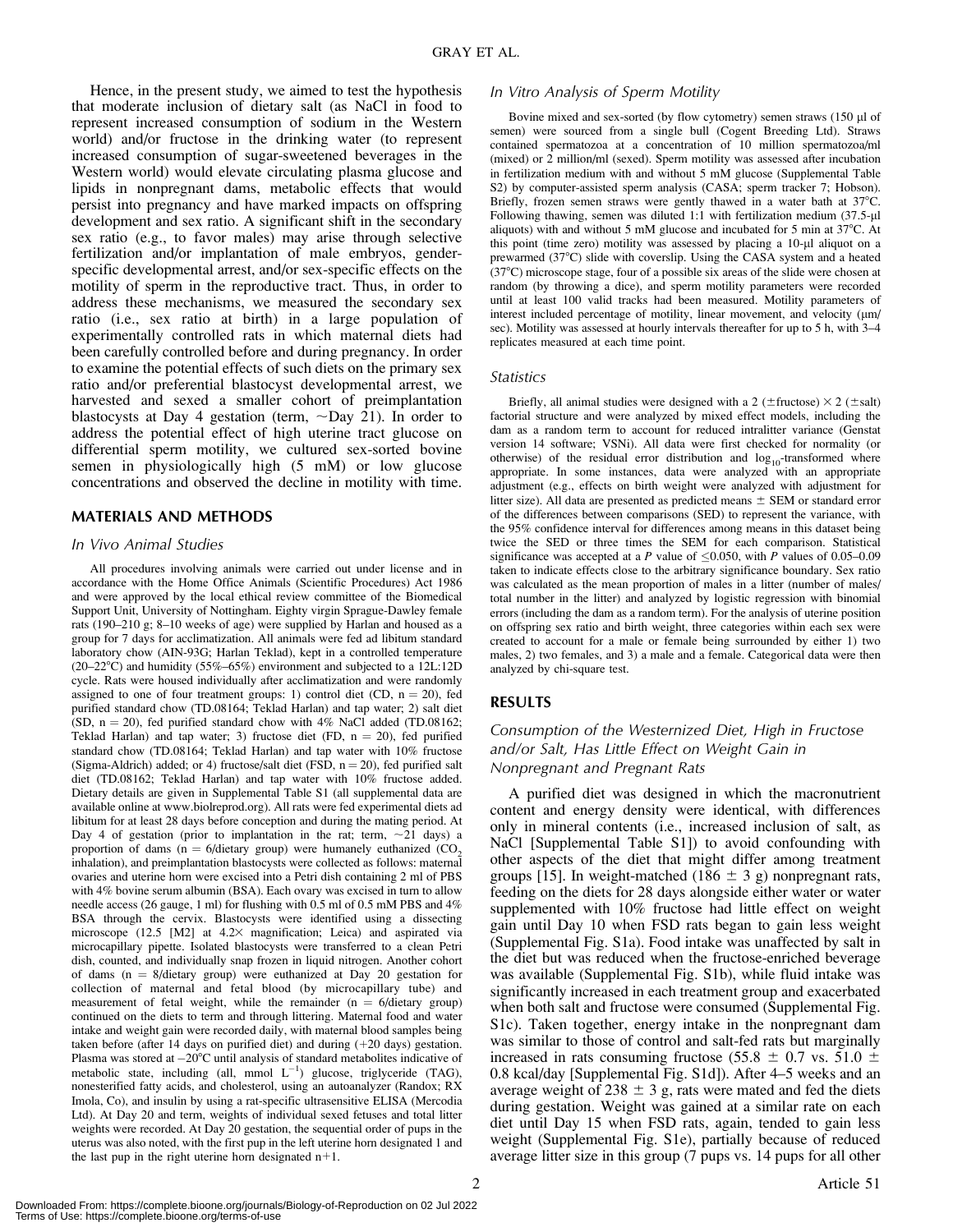Hence, in the present study, we aimed to test the hypothesis that moderate inclusion of dietary salt (as NaCl in food to represent increased consumption of sodium in the Western world) and/or fructose in the drinking water (to represent increased consumption of sugar-sweetened beverages in the Western world) would elevate circulating plasma glucose and lipids in nonpregnant dams, metabolic effects that would persist into pregnancy and have marked impacts on offspring development and sex ratio. A significant shift in the secondary sex ratio (e.g., to favor males) may arise through selective fertilization and/or implantation of male embryos, genderspecific developmental arrest, and/or sex-specific effects on the motility of sperm in the reproductive tract. Thus, in order to address these mechanisms, we measured the secondary sex ratio (i.e., sex ratio at birth) in a large population of experimentally controlled rats in which maternal diets had been carefully controlled before and during pregnancy. In order to examine the potential effects of such diets on the primary sex ratio and/or preferential blastocyst developmental arrest, we harvested and sexed a smaller cohort of preimplantation blastocysts at Day 4 gestation (term,  $\sim$ Day 21). In order to address the potential effect of high uterine tract glucose on differential sperm motility, we cultured sex-sorted bovine semen in physiologically high (5 mM) or low glucose concentrations and observed the decline in motility with time.

# MATERIALS AND METHODS

#### In Vivo Animal Studies

All procedures involving animals were carried out under license and in accordance with the Home Office Animals (Scientific Procedures) Act 1986 and were approved by the local ethical review committee of the Biomedical Support Unit, University of Nottingham. Eighty virgin Sprague-Dawley female rats (190–210 g; 8–10 weeks of age) were supplied by Harlan and housed as a group for 7 days for acclimatization. All animals were fed ad libitum standard laboratory chow (AIN-93G; Harlan Teklad), kept in a controlled temperature (20–22 $^{\circ}$ C) and humidity (55%–65%) environment and subjected to a 12L:12D cycle. Rats were housed individually after acclimatization and were randomly assigned to one of four treatment groups: 1) control diet (CD,  $n = 20$ ), fed purified standard chow (TD.08164; Teklad Harlan) and tap water; 2) salt diet (SD,  $n = 20$ ), fed purified standard chow with 4% NaCl added (TD.08162; Teklad Harlan) and tap water; 3) fructose diet (FD,  $n = 20$ ), fed purified standard chow (TD.08164; Teklad Harlan) and tap water with 10% fructose (Sigma-Aldrich) added; or 4) fructose/salt diet (FSD,  $n = 20$ ), fed purified salt diet (TD.08162; Teklad Harlan) and tap water with 10% fructose added. Dietary details are given in Supplemental Table S1 (all supplemental data are available online at www.biolreprod.org). All rats were fed experimental diets ad libitum for at least 28 days before conception and during the mating period. At Day 4 of gestation (prior to implantation in the rat; term,  $\sim$ 21 days) a proportion of dams ( $n = 6/d$ ietary group) were humanely euthanized (CO<sub>2</sub>) inhalation), and preimplantation blastocysts were collected as follows: maternal ovaries and uterine horn were excised into a Petri dish containing 2 ml of PBS with 4% bovine serum albumin (BSA). Each ovary was excised in turn to allow needle access (26 gauge, 1 ml) for flushing with 0.5 ml of 0.5 mM PBS and 4% BSA through the cervix. Blastocysts were identified using a dissecting microscope (12.5 [M2] at 4.2× magnification; Leica) and aspirated via microcapillary pipette. Isolated blastocysts were transferred to a clean Petri dish, counted, and individually snap frozen in liquid nitrogen. Another cohort of dams ( $n = 8/di$ etary group) were euthanized at Day 20 gestation for collection of maternal and fetal blood (by microcapillary tube) and measurement of fetal weight, while the remainder  $(n = 6/di)$  group) continued on the diets to term and through littering. Maternal food and water intake and weight gain were recorded daily, with maternal blood samples being taken before (after 14 days on purified diet) and during  $(+20$  days) gestation. Plasma was stored at  $-20^{\circ}$ C until analysis of standard metabolites indicative of metabolic state, including (all, mmol  $L^{-1}$ ) glucose, triglyceride (TAG), nonesterified fatty acids, and cholesterol, using an autoanalyzer (Randox; RX Imola, Co), and insulin by using a rat-specific ultrasensitive ELISA (Mercodia Ltd). At Day 20 and term, weights of individual sexed fetuses and total litter weights were recorded. At Day 20 gestation, the sequential order of pups in the uterus was also noted, with the first pup in the left uterine horn designated 1 and the last pup in the right uterine horn designated  $n+1$ .

#### In Vitro Analysis of Sperm Motility

Bovine mixed and sex-sorted (by flow cytometry) semen straws (150 µl of semen) were sourced from a single bull (Cogent Breeding Ltd). Straws contained spermatozoa at a concentration of 10 million spermatozoa/ml (mixed) or 2 million/ml (sexed). Sperm motility was assessed after incubation in fertilization medium with and without 5 mM glucose (Supplemental Table S2) by computer-assisted sperm analysis (CASA; sperm tracker 7; Hobson). Briefly, frozen semen straws were gently thawed in a water bath at  $37^{\circ}$ C. Following thawing, semen was diluted 1:1 with fertilization medium  $(37.5-\mu$ l aliquots) with and without 5 mM glucose and incubated for 5 min at  $37^{\circ}$ C. At this point (time zero) motility was assessed by placing a 10-µl aliquot on a prewarmed (37°C) slide with coverslip. Using the CASA system and a heated (378C) microscope stage, four of a possible six areas of the slide were chosen at random (by throwing a dice), and sperm motility parameters were recorded until at least 100 valid tracks had been measured. Motility parameters of interest included percentage of motility, linear movement, and velocity  $(\mu m)$ sec). Motility was assessed at hourly intervals thereafter for up to 5 h, with 3–4 replicates measured at each time point.

#### **Statistics**

Briefly, all animal studies were designed with a 2 ( $\pm$ fructose)  $\times$  2 ( $\pm$ salt) factorial structure and were analyzed by mixed effect models, including the dam as a random term to account for reduced intralitter variance (Genstat version 14 software; VSNi). All data were first checked for normality (or otherwise) of the residual error distribution and  $log_{10}$ -transformed where appropriate. In some instances, data were analyzed with an appropriate adjustment (e.g., effects on birth weight were analyzed with adjustment for litter size). All data are presented as predicted means  $\pm$  SEM or standard error of the differences between comparisons (SED) to represent the variance, with the 95% confidence interval for differences among means in this dataset being twice the SED or three times the SEM for each comparison. Statistical significance was accepted at a P value of  $\leq 0.050$ , with P values of 0.05–0.09 taken to indicate effects close to the arbitrary significance boundary. Sex ratio was calculated as the mean proportion of males in a litter (number of males/ total number in the litter) and analyzed by logistic regression with binomial errors (including the dam as a random term). For the analysis of uterine position on offspring sex ratio and birth weight, three categories within each sex were created to account for a male or female being surrounded by either 1) two males, 2) two females, and 3) a male and a female. Categorical data were then analyzed by chi-square test.

#### RESULTS

# Consumption of the Westernized Diet, High in Fructose and/or Salt, Has Little Effect on Weight Gain in Nonpregnant and Pregnant Rats

A purified diet was designed in which the macronutrient content and energy density were identical, with differences only in mineral contents (i.e., increased inclusion of salt, as NaCl [Supplemental Table S1]) to avoid confounding with other aspects of the diet that might differ among treatment groups [15]. In weight-matched (186  $\pm$  3 g) nonpregnant rats, feeding on the diets for 28 days alongside either water or water supplemented with 10% fructose had little effect on weight gain until Day 10 when FSD rats began to gain less weight (Supplemental Fig. S1a). Food intake was unaffected by salt in the diet but was reduced when the fructose-enriched beverage was available (Supplemental Fig. S1b), while fluid intake was significantly increased in each treatment group and exacerbated when both salt and fructose were consumed (Supplemental Fig. S1c). Taken together, energy intake in the nonpregnant dam was similar to those of control and salt-fed rats but marginally increased in rats consuming fructose (55.8  $\pm$  0.7 vs. 51.0  $\pm$ 0.8 kcal/day [Supplemental Fig. S1d]). After 4–5 weeks and an average weight of 238  $\pm$  3 g, rats were mated and fed the diets during gestation. Weight was gained at a similar rate on each diet until Day 15 when FSD rats, again, tended to gain less weight (Supplemental Fig. S1e), partially because of reduced average litter size in this group (7 pups vs. 14 pups for all other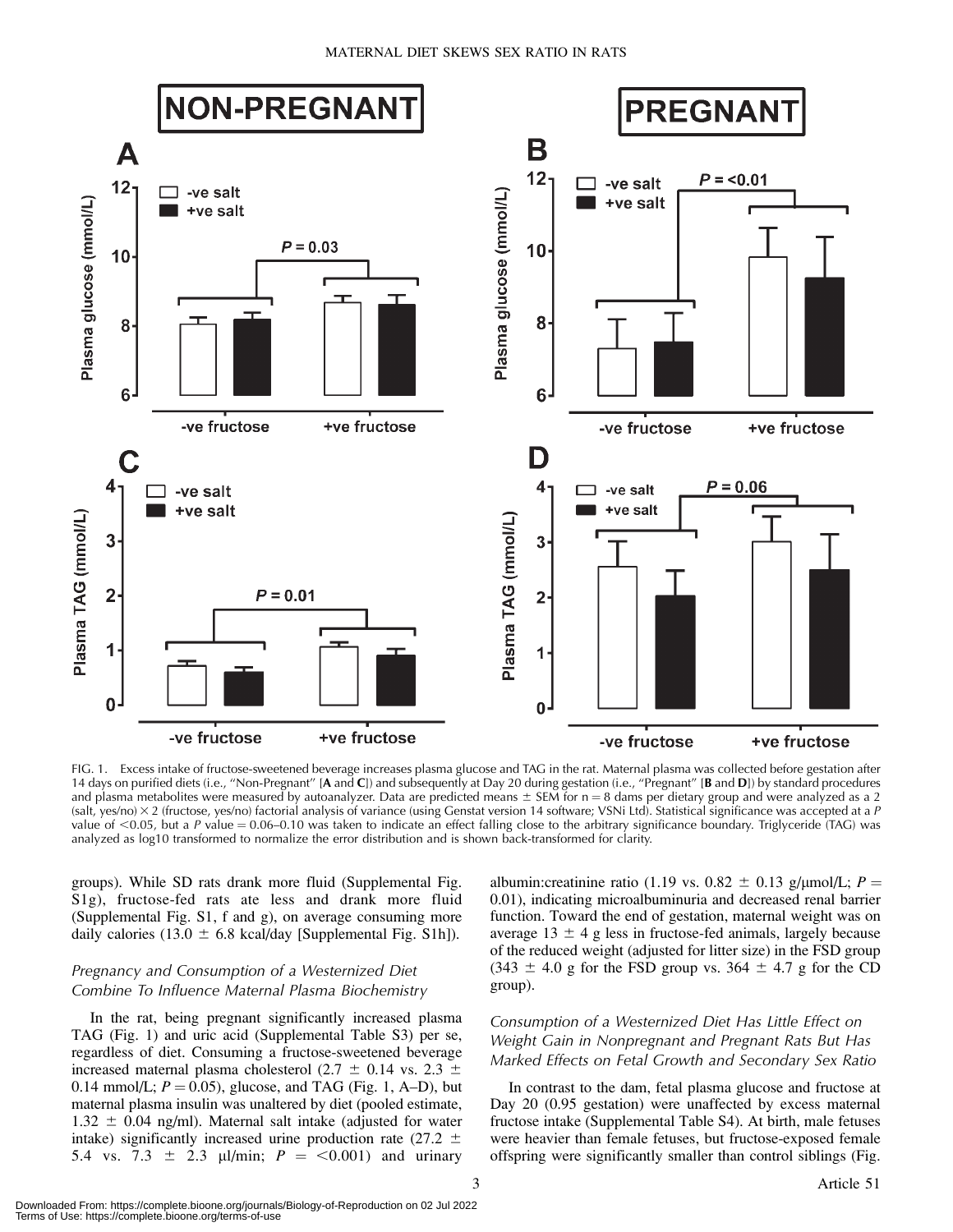

FIG. 1. Excess intake of fructose-sweetened beverage increases plasma glucose and TAG in the rat. Maternal plasma was collected before gestation after 14 days on purified diets (i.e., "Non-Pregnant" [A and C]) and subsequently at Day 20 during gestation (i.e., "Pregnant" [B and D]) by standard procedures and plasma metabolites were measured by autoanalyzer. Data are predicted means  $\pm$  SEM for n = 8 dams per dietary group and were analyzed as a 2 (salt, yes/no) 3 2 (fructose, yes/no) factorial analysis of variance (using Genstat version 14 software; VSNi Ltd). Statistical significance was accepted at a P value of  $<$ 0.05, but a P value = 0.06–0.10 was taken to indicate an effect falling close to the arbitrary significance boundary. Triglyceride (TAG) was analyzed as log10 transformed to normalize the error distribution and is shown back-transformed for clarity.

groups). While SD rats drank more fluid (Supplemental Fig. S1g), fructose-fed rats ate less and drank more fluid (Supplemental Fig. S1, f and g), on average consuming more daily calories (13.0  $\pm$  6.8 kcal/day [Supplemental Fig. S1h]).

# Pregnancy and Consumption of a Westernized Diet Combine To Influence Maternal Plasma Biochemistry

In the rat, being pregnant significantly increased plasma TAG (Fig. 1) and uric acid (Supplemental Table S3) per se, regardless of diet. Consuming a fructose-sweetened beverage increased maternal plasma cholesterol (2.7  $\pm$  0.14 vs. 2.3  $\pm$ 0.14 mmol/L;  $P = 0.05$ ), glucose, and TAG (Fig. 1, A–D), but maternal plasma insulin was unaltered by diet (pooled estimate,  $1.32 \pm 0.04$  ng/ml). Maternal salt intake (adjusted for water intake) significantly increased urine production rate (27.2  $\pm$ 5.4 vs. 7.3  $\pm$  2.3 µl/min;  $P = \langle 0.001 \rangle$  and urinary

albumin: creatinine ratio (1.19 vs.  $0.82 \pm 0.13$  g/ $\mu$ mol/L; P = 0.01), indicating microalbuminuria and decreased renal barrier function. Toward the end of gestation, maternal weight was on average  $13 \pm 4$  g less in fructose-fed animals, largely because of the reduced weight (adjusted for litter size) in the FSD group  $(343 \pm 4.0 \text{ g}$  for the FSD group vs. 364  $\pm$  4.7 g for the CD group).

# Consumption of a Westernized Diet Has Little Effect on Weight Gain in Nonpregnant and Pregnant Rats But Has Marked Effects on Fetal Growth and Secondary Sex Ratio

In contrast to the dam, fetal plasma glucose and fructose at Day 20 (0.95 gestation) were unaffected by excess maternal fructose intake (Supplemental Table S4). At birth, male fetuses were heavier than female fetuses, but fructose-exposed female offspring were significantly smaller than control siblings (Fig.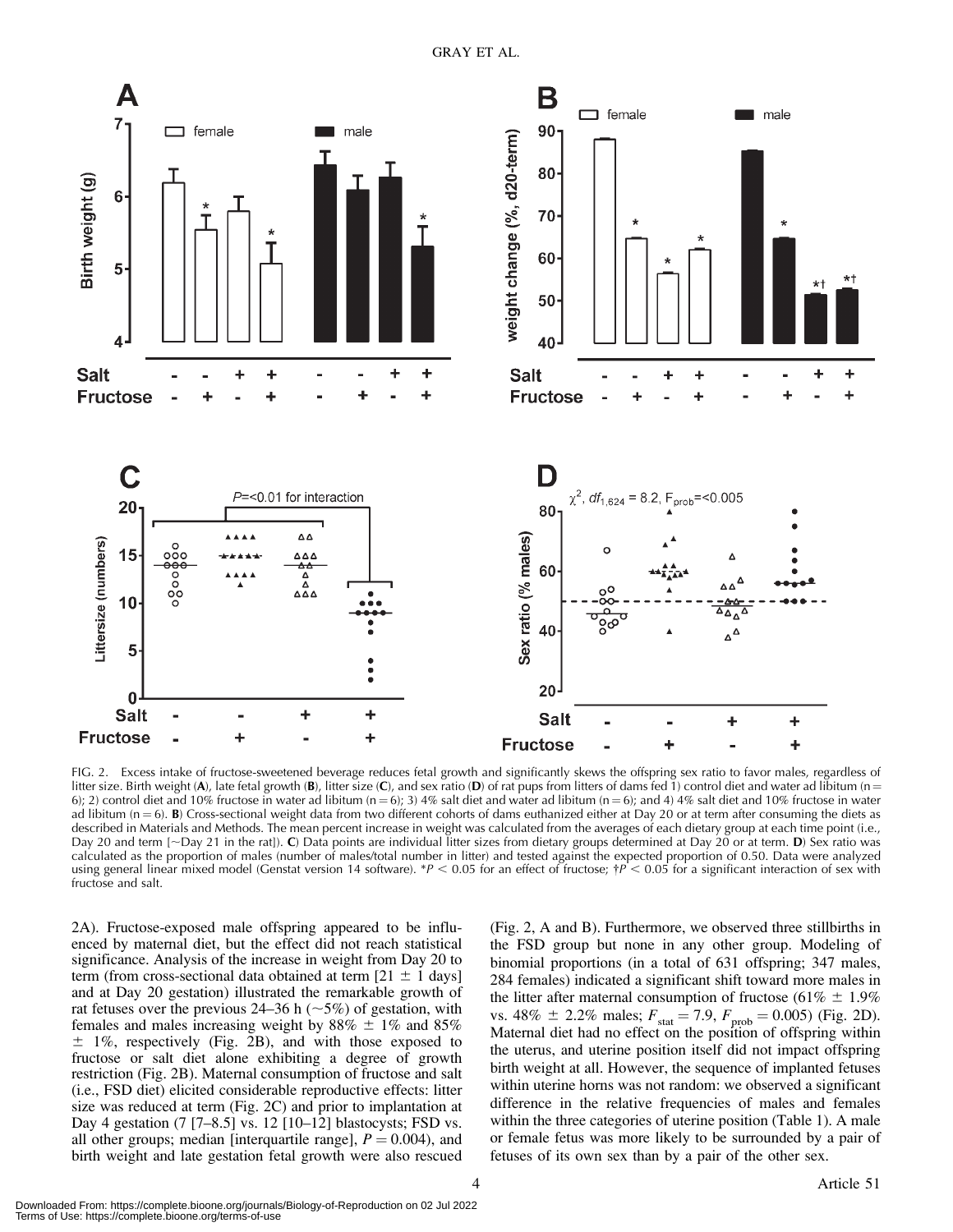

FIG. 2. Excess intake of fructose-sweetened beverage reduces fetal growth and significantly skews the offspring sex ratio to favor males, regardless of litter size. Birth weight (A), late fetal growth (B), litter size (C), and sex ratio (D) of rat pups from litters of dams fed 1) control diet and water ad libitum (n = 6); 2) control diet and 10% fructose in water ad libitum (n = 6); 3) 4% salt diet and water ad libitum (n = 6); and 4) 4% salt diet and 10% fructose in water ad libitum  $(n = 6)$ . B) Cross-sectional weight data from two different cohorts of dams euthanized either at Day 20 or at term after consuming the diets as described in Materials and Methods. The mean percent increase in weight was calculated from the averages of each dietary group at each time point (i.e., Day 20 and term  $\sim$  Day 21 in the rat]). C) Data points are individual litter sizes from dietary groups determined at Day 20 or at term. D) Sex ratio was calculated as the proportion of males (number of males/total number in litter) and tested against the expected proportion of 0.50. Data were analyzed using general linear mixed model (Genstat version 14 software). \* $P < 0.05$  for an effect of fructose;  $\dagger P < 0.05$  for a significant interaction of sex with fructose and salt.

2A). Fructose-exposed male offspring appeared to be influenced by maternal diet, but the effect did not reach statistical significance. Analysis of the increase in weight from Day 20 to term (from cross-sectional data obtained at term  $[21 \pm 1 \text{ days}]$ and at Day 20 gestation) illustrated the remarkable growth of rat fetuses over the previous 24–36 h ( $\sim$ 5%) of gestation, with females and males increasing weight by  $88\% \pm 1\%$  and  $85\%$  $\pm$  1%, respectively (Fig. 2B), and with those exposed to fructose or salt diet alone exhibiting a degree of growth restriction (Fig. 2B). Maternal consumption of fructose and salt (i.e., FSD diet) elicited considerable reproductive effects: litter size was reduced at term (Fig. 2C) and prior to implantation at Day 4 gestation (7 [7–8.5] vs. 12 [10–12] blastocysts; FSD vs. all other groups; median [interquartile range],  $P = 0.004$ ), and birth weight and late gestation fetal growth were also rescued (Fig. 2, A and B). Furthermore, we observed three stillbirths in the FSD group but none in any other group. Modeling of binomial proportions (in a total of 631 offspring; 347 males, 284 females) indicated a significant shift toward more males in the litter after maternal consumption of fructose (61%  $\pm$  1.9%) vs.  $48\% \pm 2.2\%$  males;  $F_{\text{stat}} = 7.9$ ,  $F_{\text{prob}} = 0.005$ ) (Fig. 2D). Maternal diet had no effect on the position of offspring within the uterus, and uterine position itself did not impact offspring birth weight at all. However, the sequence of implanted fetuses within uterine horns was not random: we observed a significant difference in the relative frequencies of males and females within the three categories of uterine position (Table 1). A male or female fetus was more likely to be surrounded by a pair of fetuses of its own sex than by a pair of the other sex.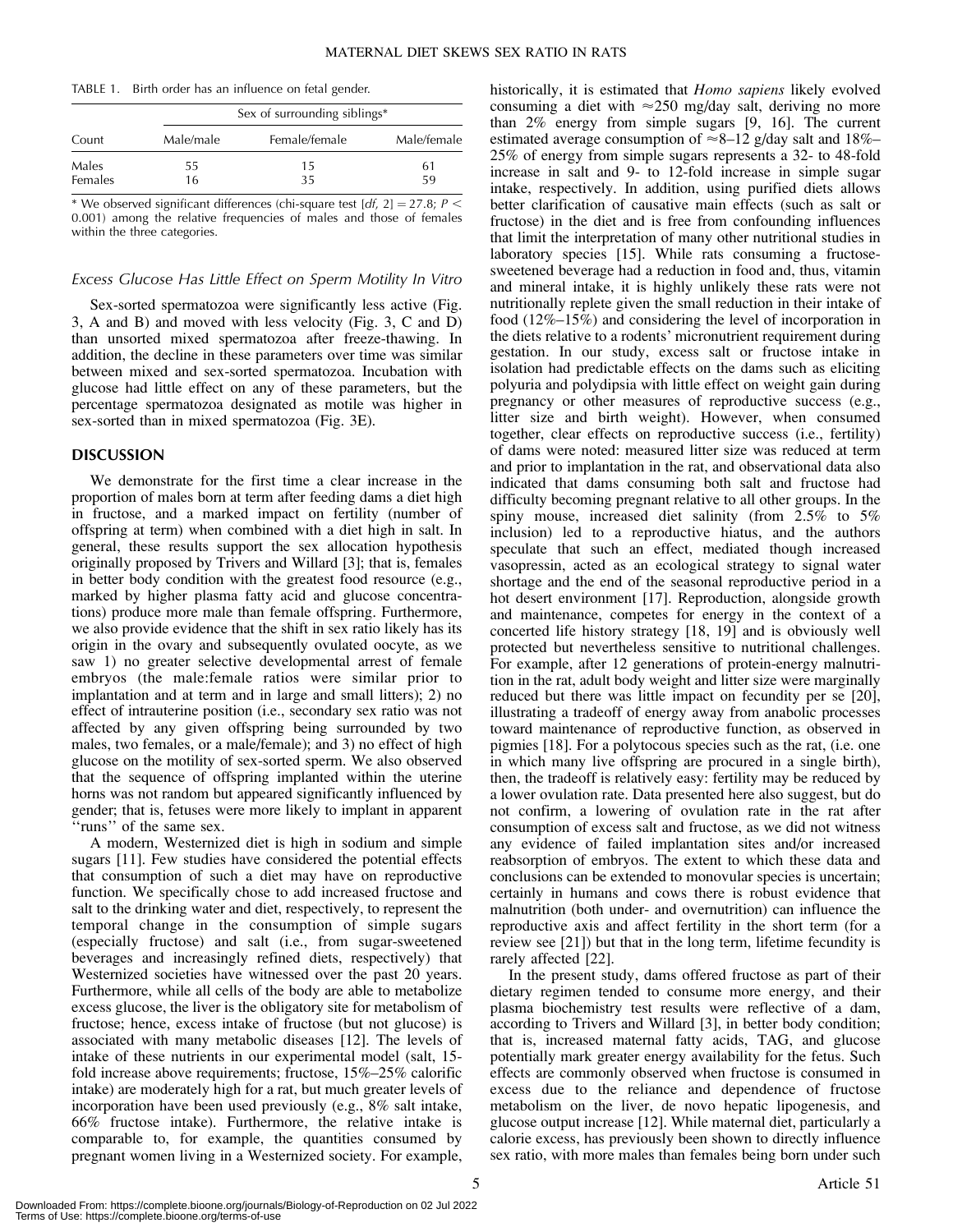|  | TABLE 1. Birth order has an influence on fetal gender. |  |  |  |  |
|--|--------------------------------------------------------|--|--|--|--|
|--|--------------------------------------------------------|--|--|--|--|

| Count   |           | Sex of surrounding siblings* |             |
|---------|-----------|------------------------------|-------------|
|         | Male/male | Female/female                | Male/female |
| Males   | 55        | 15                           | 61          |
| Females | 16        | 35                           | 59          |

\* We observed significant differences (chi-square test  $[df, 2] = 27.8; P <$ 0.001) among the relative frequencies of males and those of females within the three categories.

#### Excess Glucose Has Little Effect on Sperm Motility In Vitro

Sex-sorted spermatozoa were significantly less active (Fig. 3, A and B) and moved with less velocity (Fig. 3, C and D) than unsorted mixed spermatozoa after freeze-thawing. In addition, the decline in these parameters over time was similar between mixed and sex-sorted spermatozoa. Incubation with glucose had little effect on any of these parameters, but the percentage spermatozoa designated as motile was higher in sex-sorted than in mixed spermatozoa (Fig. 3E).

#### DISCUSSION

We demonstrate for the first time a clear increase in the proportion of males born at term after feeding dams a diet high in fructose, and a marked impact on fertility (number of offspring at term) when combined with a diet high in salt. In general, these results support the sex allocation hypothesis originally proposed by Trivers and Willard [3]; that is, females in better body condition with the greatest food resource (e.g., marked by higher plasma fatty acid and glucose concentrations) produce more male than female offspring. Furthermore, we also provide evidence that the shift in sex ratio likely has its origin in the ovary and subsequently ovulated oocyte, as we saw 1) no greater selective developmental arrest of female embryos (the male:female ratios were similar prior to implantation and at term and in large and small litters); 2) no effect of intrauterine position (i.e., secondary sex ratio was not affected by any given offspring being surrounded by two males, two females, or a male/female); and 3) no effect of high glucose on the motility of sex-sorted sperm. We also observed that the sequence of offspring implanted within the uterine horns was not random but appeared significantly influenced by gender; that is, fetuses were more likely to implant in apparent ''runs'' of the same sex.

A modern, Westernized diet is high in sodium and simple sugars [11]. Few studies have considered the potential effects that consumption of such a diet may have on reproductive function. We specifically chose to add increased fructose and salt to the drinking water and diet, respectively, to represent the temporal change in the consumption of simple sugars (especially fructose) and salt (i.e., from sugar-sweetened beverages and increasingly refined diets, respectively) that Westernized societies have witnessed over the past 20 years. Furthermore, while all cells of the body are able to metabolize excess glucose, the liver is the obligatory site for metabolism of fructose; hence, excess intake of fructose (but not glucose) is associated with many metabolic diseases [12]. The levels of intake of these nutrients in our experimental model (salt, 15 fold increase above requirements; fructose, 15%–25% calorific intake) are moderately high for a rat, but much greater levels of incorporation have been used previously (e.g., 8% salt intake, 66% fructose intake). Furthermore, the relative intake is comparable to, for example, the quantities consumed by pregnant women living in a Westernized society. For example,

historically, it is estimated that *Homo sapiens* likely evolved consuming a diet with  $\approx$  250 mg/day salt, deriving no more than 2% energy from simple sugars [9, 16]. The current estimated average consumption of  $\approx 8-12$  g/day salt and 18%– 25% of energy from simple sugars represents a 32- to 48-fold increase in salt and 9- to 12-fold increase in simple sugar intake, respectively. In addition, using purified diets allows better clarification of causative main effects (such as salt or fructose) in the diet and is free from confounding influences that limit the interpretation of many other nutritional studies in laboratory species [15]. While rats consuming a fructosesweetened beverage had a reduction in food and, thus, vitamin and mineral intake, it is highly unlikely these rats were not nutritionally replete given the small reduction in their intake of food (12%–15%) and considering the level of incorporation in the diets relative to a rodents' micronutrient requirement during gestation. In our study, excess salt or fructose intake in isolation had predictable effects on the dams such as eliciting polyuria and polydipsia with little effect on weight gain during pregnancy or other measures of reproductive success (e.g., litter size and birth weight). However, when consumed together, clear effects on reproductive success (i.e., fertility) of dams were noted: measured litter size was reduced at term and prior to implantation in the rat, and observational data also indicated that dams consuming both salt and fructose had difficulty becoming pregnant relative to all other groups. In the spiny mouse, increased diet salinity (from 2.5% to 5% inclusion) led to a reproductive hiatus, and the authors speculate that such an effect, mediated though increased vasopressin, acted as an ecological strategy to signal water shortage and the end of the seasonal reproductive period in a hot desert environment [17]. Reproduction, alongside growth and maintenance, competes for energy in the context of a concerted life history strategy [18, 19] and is obviously well protected but nevertheless sensitive to nutritional challenges. For example, after 12 generations of protein-energy malnutrition in the rat, adult body weight and litter size were marginally reduced but there was little impact on fecundity per se [20], illustrating a tradeoff of energy away from anabolic processes toward maintenance of reproductive function, as observed in pigmies [18]. For a polytocous species such as the rat, (i.e. one in which many live offspring are procured in a single birth), then, the tradeoff is relatively easy: fertility may be reduced by a lower ovulation rate. Data presented here also suggest, but do not confirm, a lowering of ovulation rate in the rat after consumption of excess salt and fructose, as we did not witness any evidence of failed implantation sites and/or increased reabsorption of embryos. The extent to which these data and conclusions can be extended to monovular species is uncertain; certainly in humans and cows there is robust evidence that malnutrition (both under- and overnutrition) can influence the reproductive axis and affect fertility in the short term (for a review see [21]) but that in the long term, lifetime fecundity is rarely affected [22].

In the present study, dams offered fructose as part of their dietary regimen tended to consume more energy, and their plasma biochemistry test results were reflective of a dam, according to Trivers and Willard [3], in better body condition; that is, increased maternal fatty acids, TAG, and glucose potentially mark greater energy availability for the fetus. Such effects are commonly observed when fructose is consumed in excess due to the reliance and dependence of fructose metabolism on the liver, de novo hepatic lipogenesis, and glucose output increase [12]. While maternal diet, particularly a calorie excess, has previously been shown to directly influence sex ratio, with more males than females being born under such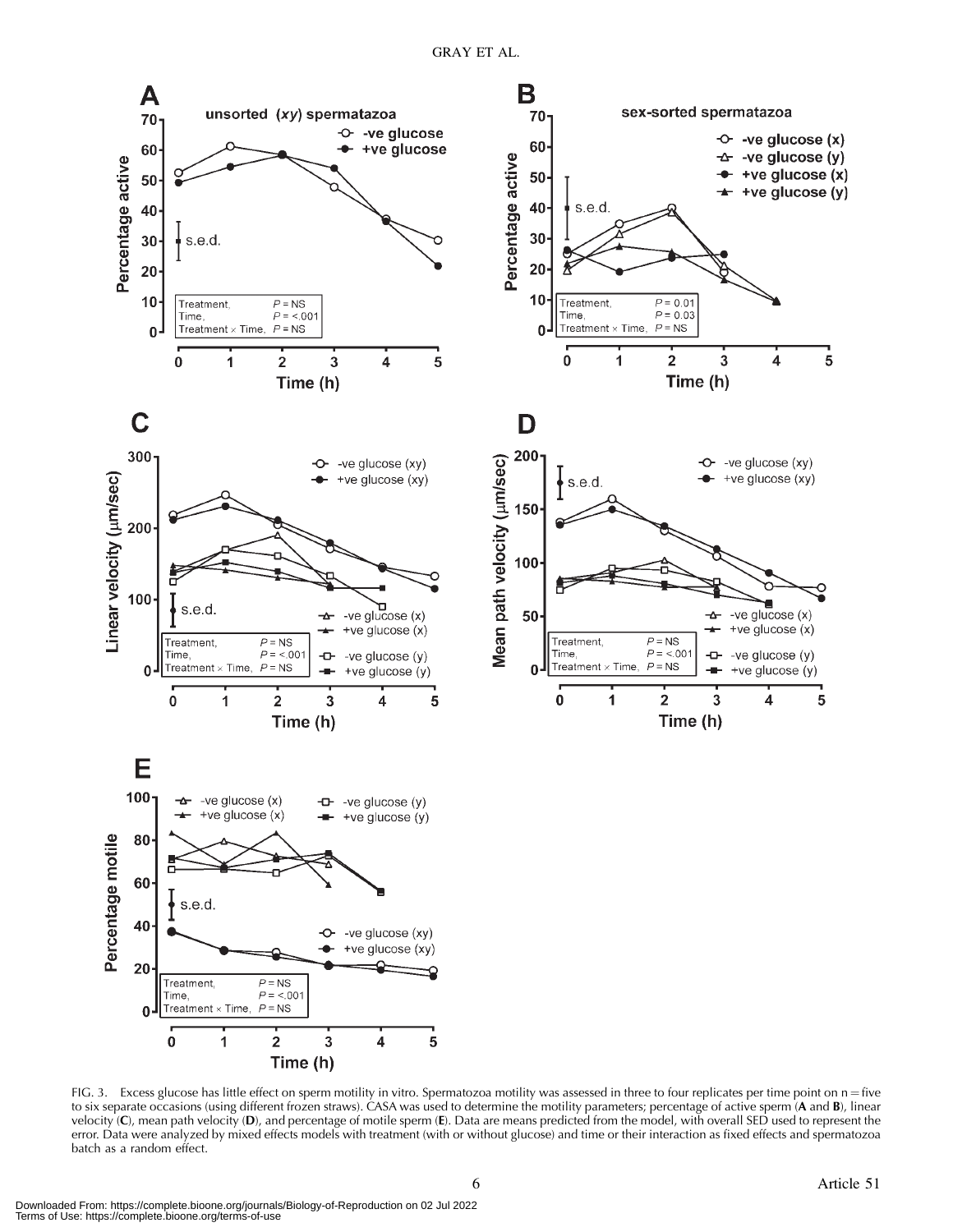

FIG. 3. Excess glucose has little effect on sperm motility in vitro. Spermatozoa motility was assessed in three to four replicates per time point on  $n =$  five to six separate occasions (using different frozen straws). CASA was used to determine the motility parameters; percentage of active sperm (A and B), linear velocity (C), mean path velocity (D), and percentage of motile sperm (E). Data are means predicted from the model, with overall SED used to represent the error. Data were analyzed by mixed effects models with treatment (with or without glucose) and time or their interaction as fixed effects and spermatozoa batch as a random effect.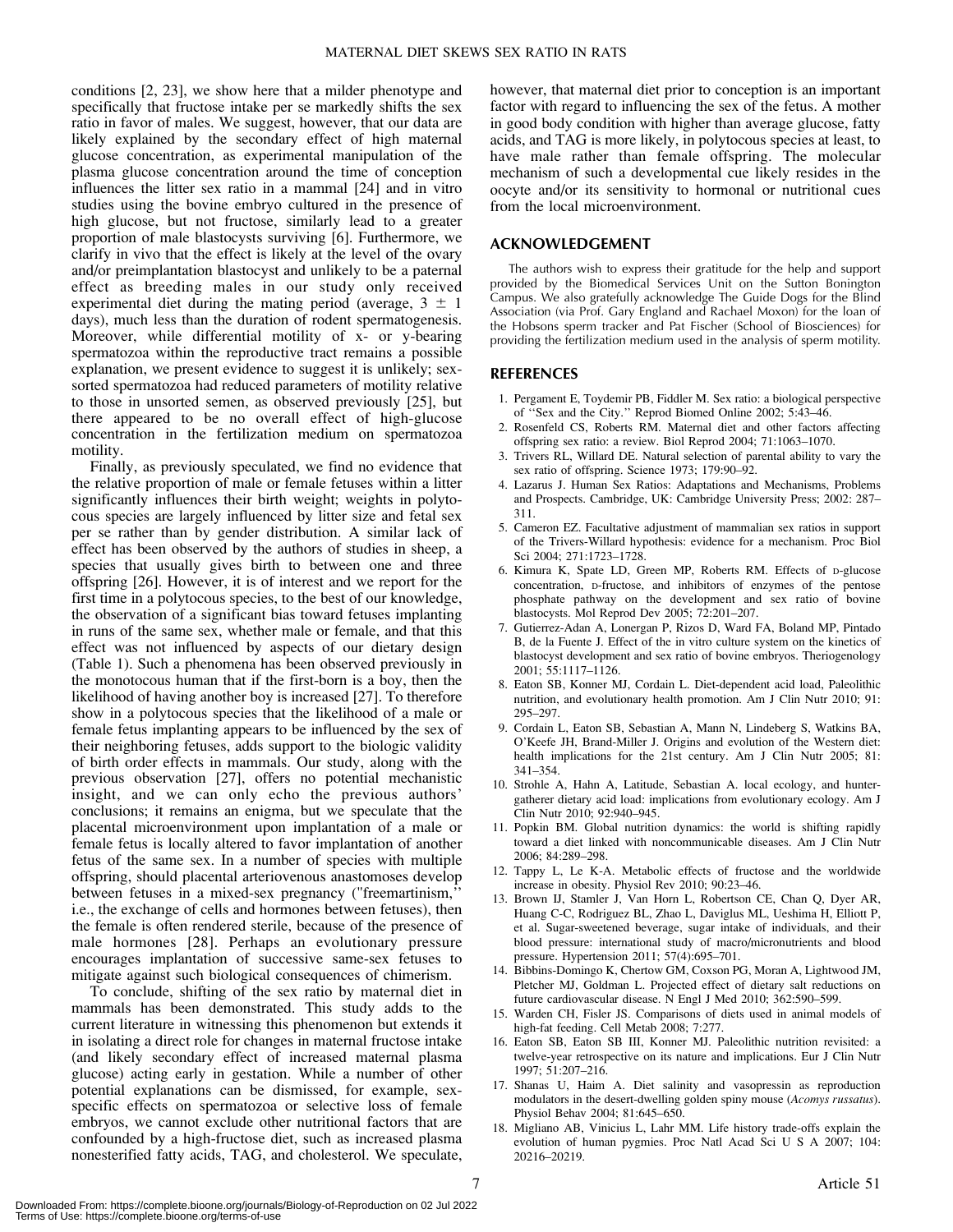conditions [2, 23], we show here that a milder phenotype and specifically that fructose intake per se markedly shifts the sex ratio in favor of males. We suggest, however, that our data are likely explained by the secondary effect of high maternal glucose concentration, as experimental manipulation of the plasma glucose concentration around the time of conception influences the litter sex ratio in a mammal [24] and in vitro studies using the bovine embryo cultured in the presence of high glucose, but not fructose, similarly lead to a greater proportion of male blastocysts surviving [6]. Furthermore, we clarify in vivo that the effect is likely at the level of the ovary and/or preimplantation blastocyst and unlikely to be a paternal effect as breeding males in our study only received experimental diet during the mating period (average,  $3 \pm 1$ days), much less than the duration of rodent spermatogenesis. Moreover, while differential motility of x- or y-bearing spermatozoa within the reproductive tract remains a possible explanation, we present evidence to suggest it is unlikely; sexsorted spermatozoa had reduced parameters of motility relative to those in unsorted semen, as observed previously [25], but there appeared to be no overall effect of high-glucose concentration in the fertilization medium on spermatozoa motility.

Finally, as previously speculated, we find no evidence that the relative proportion of male or female fetuses within a litter significantly influences their birth weight; weights in polytocous species are largely influenced by litter size and fetal sex per se rather than by gender distribution. A similar lack of effect has been observed by the authors of studies in sheep, a species that usually gives birth to between one and three offspring [26]. However, it is of interest and we report for the first time in a polytocous species, to the best of our knowledge, the observation of a significant bias toward fetuses implanting in runs of the same sex, whether male or female, and that this effect was not influenced by aspects of our dietary design (Table 1). Such a phenomena has been observed previously in the monotocous human that if the first-born is a boy, then the likelihood of having another boy is increased [27]. To therefore show in a polytocous species that the likelihood of a male or female fetus implanting appears to be influenced by the sex of their neighboring fetuses, adds support to the biologic validity of birth order effects in mammals. Our study, along with the previous observation [27], offers no potential mechanistic insight, and we can only echo the previous authors' conclusions; it remains an enigma, but we speculate that the placental microenvironment upon implantation of a male or female fetus is locally altered to favor implantation of another fetus of the same sex. In a number of species with multiple offspring, should placental arteriovenous anastomoses develop between fetuses in a mixed-sex pregnancy ("freemartinism,'' i.e., the exchange of cells and hormones between fetuses), then the female is often rendered sterile, because of the presence of male hormones [28]. Perhaps an evolutionary pressure encourages implantation of successive same-sex fetuses to mitigate against such biological consequences of chimerism.

To conclude, shifting of the sex ratio by maternal diet in mammals has been demonstrated. This study adds to the current literature in witnessing this phenomenon but extends it in isolating a direct role for changes in maternal fructose intake (and likely secondary effect of increased maternal plasma glucose) acting early in gestation. While a number of other potential explanations can be dismissed, for example, sexspecific effects on spermatozoa or selective loss of female embryos, we cannot exclude other nutritional factors that are confounded by a high-fructose diet, such as increased plasma nonesterified fatty acids, TAG, and cholesterol. We speculate,

however, that maternal diet prior to conception is an important factor with regard to influencing the sex of the fetus. A mother in good body condition with higher than average glucose, fatty acids, and TAG is more likely, in polytocous species at least, to have male rather than female offspring. The molecular mechanism of such a developmental cue likely resides in the oocyte and/or its sensitivity to hormonal or nutritional cues from the local microenvironment.

#### ACKNOWLEDGEMENT

The authors wish to express their gratitude for the help and support provided by the Biomedical Services Unit on the Sutton Bonington Campus. We also gratefully acknowledge The Guide Dogs for the Blind Association (via Prof. Gary England and Rachael Moxon) for the loan of the Hobsons sperm tracker and Pat Fischer (School of Biosciences) for providing the fertilization medium used in the analysis of sperm motility.

#### REFERENCES

- 1. Pergament E, Toydemir PB, Fiddler M. Sex ratio: a biological perspective of ''Sex and the City.'' Reprod Biomed Online 2002; 5:43–46.
- 2. Rosenfeld CS, Roberts RM. Maternal diet and other factors affecting offspring sex ratio: a review. Biol Reprod 2004; 71:1063–1070.
- 3. Trivers RL, Willard DE. Natural selection of parental ability to vary the sex ratio of offspring. Science 1973; 179:90–92.
- 4. Lazarus J. Human Sex Ratios: Adaptations and Mechanisms, Problems and Prospects. Cambridge, UK: Cambridge University Press; 2002: 287– 311.
- 5. Cameron EZ. Facultative adjustment of mammalian sex ratios in support of the Trivers-Willard hypothesis: evidence for a mechanism. Proc Biol Sci 2004; 271:1723–1728.
- 6. Kimura K, Spate LD, Green MP, Roberts RM. Effects of D-glucose concentration, D-fructose, and inhibitors of enzymes of the pentose phosphate pathway on the development and sex ratio of bovine blastocysts. Mol Reprod Dev 2005; 72:201–207.
- 7. Gutierrez-Adan A, Lonergan P, Rizos D, Ward FA, Boland MP, Pintado B, de la Fuente J. Effect of the in vitro culture system on the kinetics of blastocyst development and sex ratio of bovine embryos. Theriogenology 2001; 55:1117–1126.
- 8. Eaton SB, Konner MJ, Cordain L. Diet-dependent acid load, Paleolithic nutrition, and evolutionary health promotion. Am J Clin Nutr 2010; 91: 295–297.
- 9. Cordain L, Eaton SB, Sebastian A, Mann N, Lindeberg S, Watkins BA, O'Keefe JH, Brand-Miller J. Origins and evolution of the Western diet: health implications for the 21st century. Am J Clin Nutr 2005; 81: 341–354.
- 10. Strohle A, Hahn A, Latitude, Sebastian A. local ecology, and huntergatherer dietary acid load: implications from evolutionary ecology. Am J Clin Nutr 2010; 92:940–945.
- 11. Popkin BM. Global nutrition dynamics: the world is shifting rapidly toward a diet linked with noncommunicable diseases. Am J Clin Nutr 2006; 84:289–298.
- 12. Tappy L, Le K-A. Metabolic effects of fructose and the worldwide increase in obesity. Physiol Rev 2010; 90:23–46.
- 13. Brown IJ, Stamler J, Van Horn L, Robertson CE, Chan Q, Dyer AR, Huang C-C, Rodriguez BL, Zhao L, Daviglus ML, Ueshima H, Elliott P, et al. Sugar-sweetened beverage, sugar intake of individuals, and their blood pressure: international study of macro/micronutrients and blood pressure. Hypertension 2011; 57(4):695–701.
- 14. Bibbins-Domingo K, Chertow GM, Coxson PG, Moran A, Lightwood JM, Pletcher MJ, Goldman L. Projected effect of dietary salt reductions on future cardiovascular disease. N Engl J Med 2010; 362:590–599.
- 15. Warden CH, Fisler JS. Comparisons of diets used in animal models of high-fat feeding. Cell Metab 2008; 7:277.
- 16. Eaton SB, Eaton SB III, Konner MJ. Paleolithic nutrition revisited: a twelve-year retrospective on its nature and implications. Eur J Clin Nutr 1997; 51:207–216.
- 17. Shanas U, Haim A. Diet salinity and vasopressin as reproduction modulators in the desert-dwelling golden spiny mouse (Acomys russatus). Physiol Behav 2004; 81:645–650.
- 18. Migliano AB, Vinicius L, Lahr MM. Life history trade-offs explain the evolution of human pygmies. Proc Natl Acad Sci U S A 2007; 104: 20216–20219.